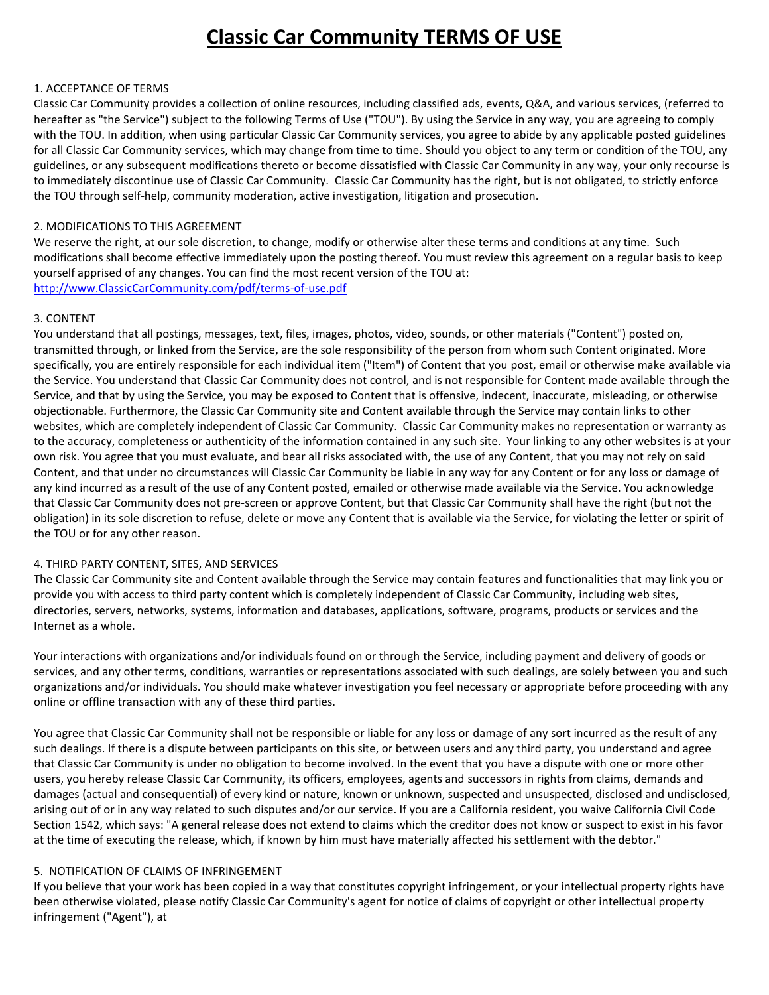# **Classic Car Community TERMS OF USE**

#### 1. ACCEPTANCE OF TERMS

Classic Car Community provides a collection of online resources, including classified ads, events, Q&A, and various services, (referred to hereafter as "the Service") subject to the following Terms of Use ("TOU"). By using the Service in any way, you are agreeing to comply with the TOU. In addition, when using particular Classic Car Community services, you agree to abide by any applicable posted guidelines for all Classic Car Community services, which may change from time to time. Should you object to any term or condition of the TOU, any guidelines, or any subsequent modifications thereto or become dissatisfied with Classic Car Community in any way, your only recourse is to immediately discontinue use of Classic Car Community. Classic Car Community has the right, but is not obligated, to strictly enforce the TOU through self-help, community moderation, active investigation, litigation and prosecution.

## 2. MODIFICATIONS TO THIS AGREEMENT

We reserve the right, at our sole discretion, to change, modify or otherwise alter these terms and conditions at any time. Such modifications shall become effective immediately upon the posting thereof. You must review this agreement on a regular basis to keep yourself apprised of any changes. You can find the most recent version of the TOU at: [http://www.ClassicCarCommunity.com/pdf/terms-of-use.pdf](http://www.classiccarcommunity.com/pdf/terms-of-use.pdf)

### 3. CONTENT

You understand that all postings, messages, text, files, images, photos, video, sounds, or other materials ("Content") posted on, transmitted through, or linked from the Service, are the sole responsibility of the person from whom such Content originated. More specifically, you are entirely responsible for each individual item ("Item") of Content that you post, email or otherwise make available via the Service. You understand that Classic Car Community does not control, and is not responsible for Content made available through the Service, and that by using the Service, you may be exposed to Content that is offensive, indecent, inaccurate, misleading, or otherwise objectionable. Furthermore, the Classic Car Community site and Content available through the Service may contain links to other websites, which are completely independent of Classic Car Community. Classic Car Community makes no representation or warranty as to the accuracy, completeness or authenticity of the information contained in any such site. Your linking to any other websites is at your own risk. You agree that you must evaluate, and bear all risks associated with, the use of any Content, that you may not rely on said Content, and that under no circumstances will Classic Car Community be liable in any way for any Content or for any loss or damage of any kind incurred as a result of the use of any Content posted, emailed or otherwise made available via the Service. You acknowledge that Classic Car Community does not pre-screen or approve Content, but that Classic Car Community shall have the right (but not the obligation) in its sole discretion to refuse, delete or move any Content that is available via the Service, for violating the letter or spirit of the TOU or for any other reason.

### 4. THIRD PARTY CONTENT, SITES, AND SERVICES

The Classic Car Community site and Content available through the Service may contain features and functionalities that may link you or provide you with access to third party content which is completely independent of Classic Car Community, including web sites, directories, servers, networks, systems, information and databases, applications, software, programs, products or services and the Internet as a whole.

Your interactions with organizations and/or individuals found on or through the Service, including payment and delivery of goods or services, and any other terms, conditions, warranties or representations associated with such dealings, are solely between you and such organizations and/or individuals. You should make whatever investigation you feel necessary or appropriate before proceeding with any online or offline transaction with any of these third parties.

You agree that Classic Car Community shall not be responsible or liable for any loss or damage of any sort incurred as the result of any such dealings. If there is a dispute between participants on this site, or between users and any third party, you understand and agree that Classic Car Community is under no obligation to become involved. In the event that you have a dispute with one or more other users, you hereby release Classic Car Community, its officers, employees, agents and successors in rights from claims, demands and damages (actual and consequential) of every kind or nature, known or unknown, suspected and unsuspected, disclosed and undisclosed, arising out of or in any way related to such disputes and/or our service. If you are a California resident, you waive California Civil Code Section 1542, which says: "A general release does not extend to claims which the creditor does not know or suspect to exist in his favor at the time of executing the release, which, if known by him must have materially affected his settlement with the debtor."

# 5. NOTIFICATION OF CLAIMS OF INFRINGEMENT

If you believe that your work has been copied in a way that constitutes copyright infringement, or your intellectual property rights have been otherwise violated, please notify Classic Car Community's agent for notice of claims of copyright or other intellectual property infringement ("Agent"), at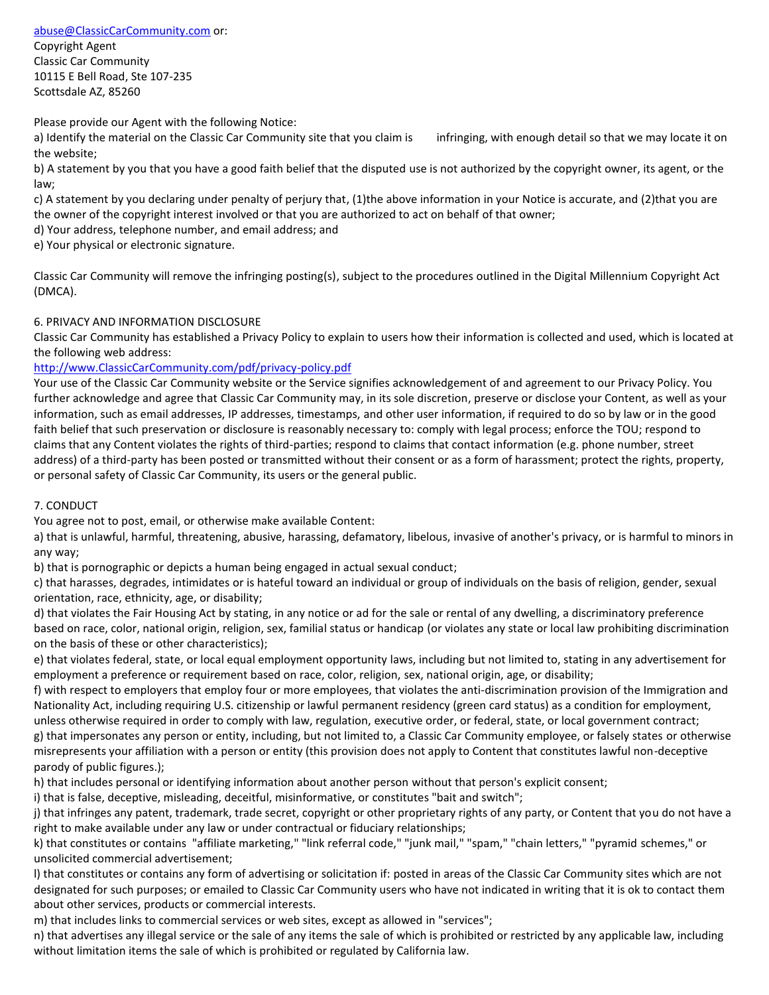[abuse@ClassicCarCommunity.com](mailto:abuse@ClassicCarCommunity.com) or:

Copyright Agent Classic Car Community 10115 E Bell Road, Ste 107-235 Scottsdale AZ, 85260

Please provide our Agent with the following Notice:

a) Identify the material on the Classic Car Community site that you claim is infringing, with enough detail so that we may locate it on the website;

b) A statement by you that you have a good faith belief that the disputed use is not authorized by the copyright owner, its agent, or the law;

c) A statement by you declaring under penalty of perjury that, (1)the above information in your Notice is accurate, and (2)that you are the owner of the copyright interest involved or that you are authorized to act on behalf of that owner;

d) Your address, telephone number, and email address; and

e) Your physical or electronic signature.

Classic Car Community will remove the infringing posting(s), subject to the procedures outlined in the Digital Millennium Copyright Act (DMCA).

# 6. PRIVACY AND INFORMATION DISCLOSURE

Classic Car Community has established a Privacy Policy to explain to users how their information is collected and used, which is located at the following web address:

### [http://www.ClassicCarCommunity.com/pdf/privacy-policy.pdf](http://www.classiccarcommunity.com/pdf/privacy-policy.pdf)

Your use of the Classic Car Community website or the Service signifies acknowledgement of and agreement to our Privacy Policy. You further acknowledge and agree that Classic Car Community may, in its sole discretion, preserve or disclose your Content, as well as your information, such as email addresses, IP addresses, timestamps, and other user information, if required to do so by law or in the good faith belief that such preservation or disclosure is reasonably necessary to: comply with legal process; enforce the TOU; respond to claims that any Content violates the rights of third-parties; respond to claims that contact information (e.g. phone number, street address) of a third-party has been posted or transmitted without their consent or as a form of harassment; protect the rights, property, or personal safety of Classic Car Community, its users or the general public.

### 7. CONDUCT

You agree not to post, email, or otherwise make available Content:

a) that is unlawful, harmful, threatening, abusive, harassing, defamatory, libelous, invasive of another's privacy, or is harmful to minors in any way;

b) that is pornographic or depicts a human being engaged in actual sexual conduct;

c) that harasses, degrades, intimidates or is hateful toward an individual or group of individuals on the basis of religion, gender, sexual orientation, race, ethnicity, age, or disability;

d) that violates the Fair Housing Act by stating, in any notice or ad for the sale or rental of any dwelling, a discriminatory preference based on race, color, national origin, religion, sex, familial status or handicap (or violates any state or local law prohibiting discrimination on the basis of these or other characteristics);

e) that violates federal, state, or local equal employment opportunity laws, including but not limited to, stating in any advertisement for employment a preference or requirement based on race, color, religion, sex, national origin, age, or disability;

f) with respect to employers that employ four or more employees, that violates the anti-discrimination provision of the Immigration and Nationality Act, including requiring U.S. citizenship or lawful permanent residency (green card status) as a condition for employment, unless otherwise required in order to comply with law, regulation, executive order, or federal, state, or local government contract;

g) that impersonates any person or entity, including, but not limited to, a Classic Car Community employee, or falsely states or otherwise misrepresents your affiliation with a person or entity (this provision does not apply to Content that constitutes lawful non-deceptive parody of public figures.);

h) that includes personal or identifying information about another person without that person's explicit consent;

i) that is false, deceptive, misleading, deceitful, misinformative, or constitutes "bait and switch";

j) that infringes any patent, trademark, trade secret, copyright or other proprietary rights of any party, or Content that you do not have a right to make available under any law or under contractual or fiduciary relationships;

k) that constitutes or contains "affiliate marketing," "link referral code," "junk mail," "spam," "chain letters," "pyramid schemes," or unsolicited commercial advertisement;

l) that constitutes or contains any form of advertising or solicitation if: posted in areas of the Classic Car Community sites which are not designated for such purposes; or emailed to Classic Car Community users who have not indicated in writing that it is ok to contact them about other services, products or commercial interests.

m) that includes links to commercial services or web sites, except as allowed in "services";

n) that advertises any illegal service or the sale of any items the sale of which is prohibited or restricted by any applicable law, including without limitation items the sale of which is prohibited or regulated by California law.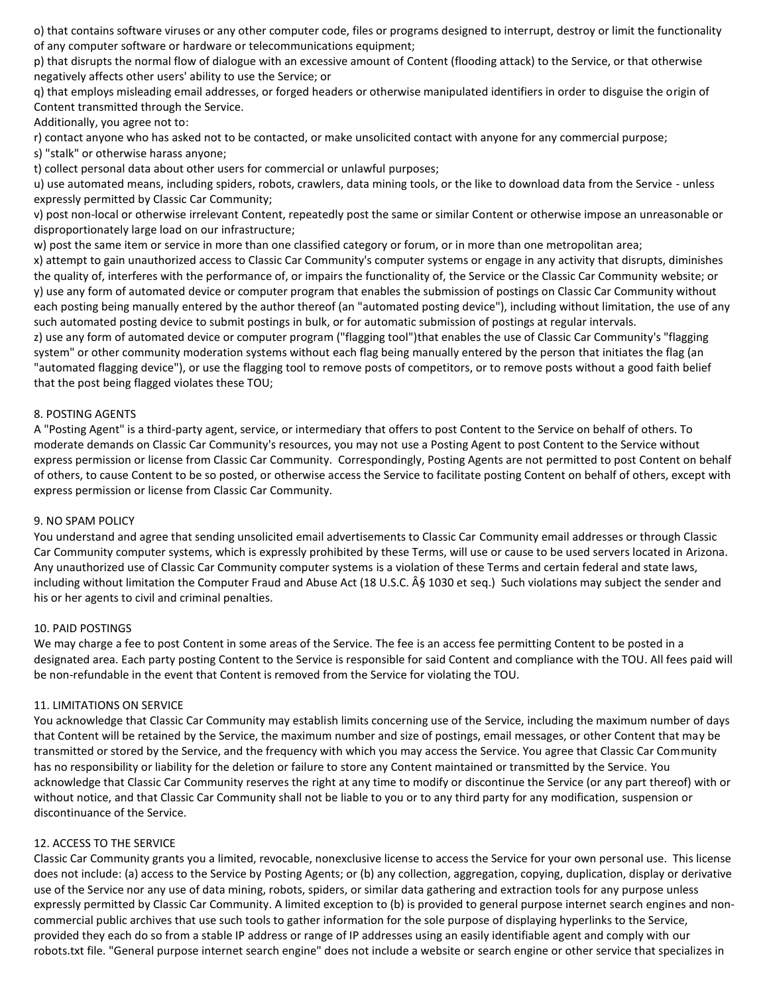o) that contains software viruses or any other computer code, files or programs designed to interrupt, destroy or limit the functionality of any computer software or hardware or telecommunications equipment;

p) that disrupts the normal flow of dialogue with an excessive amount of Content (flooding attack) to the Service, or that otherwise negatively affects other users' ability to use the Service; or

q) that employs misleading email addresses, or forged headers or otherwise manipulated identifiers in order to disguise the origin of Content transmitted through the Service.

Additionally, you agree not to:

r) contact anyone who has asked not to be contacted, or make unsolicited contact with anyone for any commercial purpose;

s) "stalk" or otherwise harass anyone;

t) collect personal data about other users for commercial or unlawful purposes;

u) use automated means, including spiders, robots, crawlers, data mining tools, or the like to download data from the Service - unless expressly permitted by Classic Car Community;

v) post non-local or otherwise irrelevant Content, repeatedly post the same or similar Content or otherwise impose an unreasonable or disproportionately large load on our infrastructure;

w) post the same item or service in more than one classified category or forum, or in more than one metropolitan area;

x) attempt to gain unauthorized access to Classic Car Community's computer systems or engage in any activity that disrupts, diminishes the quality of, interferes with the performance of, or impairs the functionality of, the Service or the Classic Car Community website; or y) use any form of automated device or computer program that enables the submission of postings on Classic Car Community without each posting being manually entered by the author thereof (an "automated posting device"), including without limitation, the use of any such automated posting device to submit postings in bulk, or for automatic submission of postings at regular intervals.

z) use any form of automated device or computer program ("flagging tool")that enables the use of Classic Car Community's "flagging system" or other community moderation systems without each flag being manually entered by the person that initiates the flag (an "automated flagging device"), or use the flagging tool to remove posts of competitors, or to remove posts without a good faith belief that the post being flagged violates these TOU;

# 8. POSTING AGENTS

A "Posting Agent" is a third-party agent, service, or intermediary that offers to post Content to the Service on behalf of others. To moderate demands on Classic Car Community's resources, you may not use a Posting Agent to post Content to the Service without express permission or license from Classic Car Community. Correspondingly, Posting Agents are not permitted to post Content on behalf of others, to cause Content to be so posted, or otherwise access the Service to facilitate posting Content on behalf of others, except with express permission or license from Classic Car Community.

### 9. NO SPAM POLICY

You understand and agree that sending unsolicited email advertisements to Classic Car Community email addresses or through Classic Car Community computer systems, which is expressly prohibited by these Terms, will use or cause to be used servers located in Arizona. Any unauthorized use of Classic Car Community computer systems is a violation of these Terms and certain federal and state laws, including without limitation the Computer Fraud and Abuse Act (18 U.S.C. § 1030 et seq.) Such violations may subject the sender and his or her agents to civil and criminal penalties.

### 10. PAID POSTINGS

We may charge a fee to post Content in some areas of the Service. The fee is an access fee permitting Content to be posted in a designated area. Each party posting Content to the Service is responsible for said Content and compliance with the TOU. All fees paid will be non-refundable in the event that Content is removed from the Service for violating the TOU.

### 11. LIMITATIONS ON SERVICE

You acknowledge that Classic Car Community may establish limits concerning use of the Service, including the maximum number of days that Content will be retained by the Service, the maximum number and size of postings, email messages, or other Content that may be transmitted or stored by the Service, and the frequency with which you may access the Service. You agree that Classic Car Community has no responsibility or liability for the deletion or failure to store any Content maintained or transmitted by the Service. You acknowledge that Classic Car Community reserves the right at any time to modify or discontinue the Service (or any part thereof) with or without notice, and that Classic Car Community shall not be liable to you or to any third party for any modification, suspension or discontinuance of the Service.

### 12. ACCESS TO THE SERVICE

Classic Car Community grants you a limited, revocable, nonexclusive license to access the Service for your own personal use. This license does not include: (a) access to the Service by Posting Agents; or (b) any collection, aggregation, copying, duplication, display or derivative use of the Service nor any use of data mining, robots, spiders, or similar data gathering and extraction tools for any purpose unless expressly permitted by Classic Car Community. A limited exception to (b) is provided to general purpose internet search engines and noncommercial public archives that use such tools to gather information for the sole purpose of displaying hyperlinks to the Service, provided they each do so from a stable IP address or range of IP addresses using an easily identifiable agent and comply with our robots.txt file. "General purpose internet search engine" does not include a website or search engine or other service that specializes in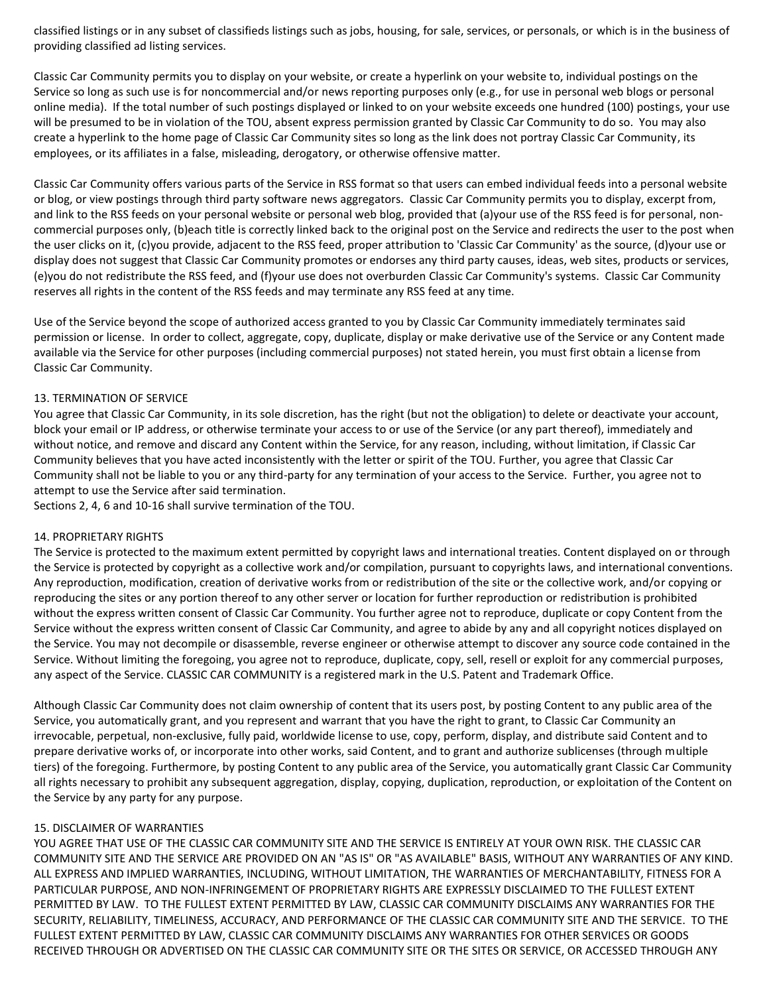classified listings or in any subset of classifieds listings such as jobs, housing, for sale, services, or personals, or which is in the business of providing classified ad listing services.

Classic Car Community permits you to display on your website, or create a hyperlink on your website to, individual postings on the Service so long as such use is for noncommercial and/or news reporting purposes only (e.g., for use in personal web blogs or personal online media). If the total number of such postings displayed or linked to on your website exceeds one hundred (100) postings, your use will be presumed to be in violation of the TOU, absent express permission granted by Classic Car Community to do so. You may also create a hyperlink to the home page of Classic Car Community sites so long as the link does not portray Classic Car Community, its employees, or its affiliates in a false, misleading, derogatory, or otherwise offensive matter.

Classic Car Community offers various parts of the Service in RSS format so that users can embed individual feeds into a personal website or blog, or view postings through third party software news aggregators. Classic Car Community permits you to display, excerpt from, and link to the RSS feeds on your personal website or personal web blog, provided that (a)your use of the RSS feed is for personal, noncommercial purposes only, (b)each title is correctly linked back to the original post on the Service and redirects the user to the post when the user clicks on it, (c)you provide, adjacent to the RSS feed, proper attribution to 'Classic Car Community' as the source, (d)your use or display does not suggest that Classic Car Community promotes or endorses any third party causes, ideas, web sites, products or services, (e)you do not redistribute the RSS feed, and (f)your use does not overburden Classic Car Community's systems. Classic Car Community reserves all rights in the content of the RSS feeds and may terminate any RSS feed at any time.

Use of the Service beyond the scope of authorized access granted to you by Classic Car Community immediately terminates said permission or license. In order to collect, aggregate, copy, duplicate, display or make derivative use of the Service or any Content made available via the Service for other purposes (including commercial purposes) not stated herein, you must first obtain a license from Classic Car Community.

### 13. TERMINATION OF SERVICE

You agree that Classic Car Community, in its sole discretion, has the right (but not the obligation) to delete or deactivate your account, block your email or IP address, or otherwise terminate your access to or use of the Service (or any part thereof), immediately and without notice, and remove and discard any Content within the Service, for any reason, including, without limitation, if Classic Car Community believes that you have acted inconsistently with the letter or spirit of the TOU. Further, you agree that Classic Car Community shall not be liable to you or any third-party for any termination of your access to the Service. Further, you agree not to attempt to use the Service after said termination.

Sections 2, 4, 6 and 10-16 shall survive termination of the TOU.

#### 14. PROPRIETARY RIGHTS

The Service is protected to the maximum extent permitted by copyright laws and international treaties. Content displayed on or through the Service is protected by copyright as a collective work and/or compilation, pursuant to copyrights laws, and international conventions. Any reproduction, modification, creation of derivative works from or redistribution of the site or the collective work, and/or copying or reproducing the sites or any portion thereof to any other server or location for further reproduction or redistribution is prohibited without the express written consent of Classic Car Community. You further agree not to reproduce, duplicate or copy Content from the Service without the express written consent of Classic Car Community, and agree to abide by any and all copyright notices displayed on the Service. You may not decompile or disassemble, reverse engineer or otherwise attempt to discover any source code contained in the Service. Without limiting the foregoing, you agree not to reproduce, duplicate, copy, sell, resell or exploit for any commercial purposes, any aspect of the Service. CLASSIC CAR COMMUNITY is a registered mark in the U.S. Patent and Trademark Office.

Although Classic Car Community does not claim ownership of content that its users post, by posting Content to any public area of the Service, you automatically grant, and you represent and warrant that you have the right to grant, to Classic Car Community an irrevocable, perpetual, non-exclusive, fully paid, worldwide license to use, copy, perform, display, and distribute said Content and to prepare derivative works of, or incorporate into other works, said Content, and to grant and authorize sublicenses (through multiple tiers) of the foregoing. Furthermore, by posting Content to any public area of the Service, you automatically grant Classic Car Community all rights necessary to prohibit any subsequent aggregation, display, copying, duplication, reproduction, or exploitation of the Content on the Service by any party for any purpose.

#### 15. DISCLAIMER OF WARRANTIES

YOU AGREE THAT USE OF THE CLASSIC CAR COMMUNITY SITE AND THE SERVICE IS ENTIRELY AT YOUR OWN RISK. THE CLASSIC CAR COMMUNITY SITE AND THE SERVICE ARE PROVIDED ON AN "AS IS" OR "AS AVAILABLE" BASIS, WITHOUT ANY WARRANTIES OF ANY KIND. ALL EXPRESS AND IMPLIED WARRANTIES, INCLUDING, WITHOUT LIMITATION, THE WARRANTIES OF MERCHANTABILITY, FITNESS FOR A PARTICULAR PURPOSE, AND NON-INFRINGEMENT OF PROPRIETARY RIGHTS ARE EXPRESSLY DISCLAIMED TO THE FULLEST EXTENT PERMITTED BY LAW. TO THE FULLEST EXTENT PERMITTED BY LAW, CLASSIC CAR COMMUNITY DISCLAIMS ANY WARRANTIES FOR THE SECURITY, RELIABILITY, TIMELINESS, ACCURACY, AND PERFORMANCE OF THE CLASSIC CAR COMMUNITY SITE AND THE SERVICE. TO THE FULLEST EXTENT PERMITTED BY LAW, CLASSIC CAR COMMUNITY DISCLAIMS ANY WARRANTIES FOR OTHER SERVICES OR GOODS RECEIVED THROUGH OR ADVERTISED ON THE CLASSIC CAR COMMUNITY SITE OR THE SITES OR SERVICE, OR ACCESSED THROUGH ANY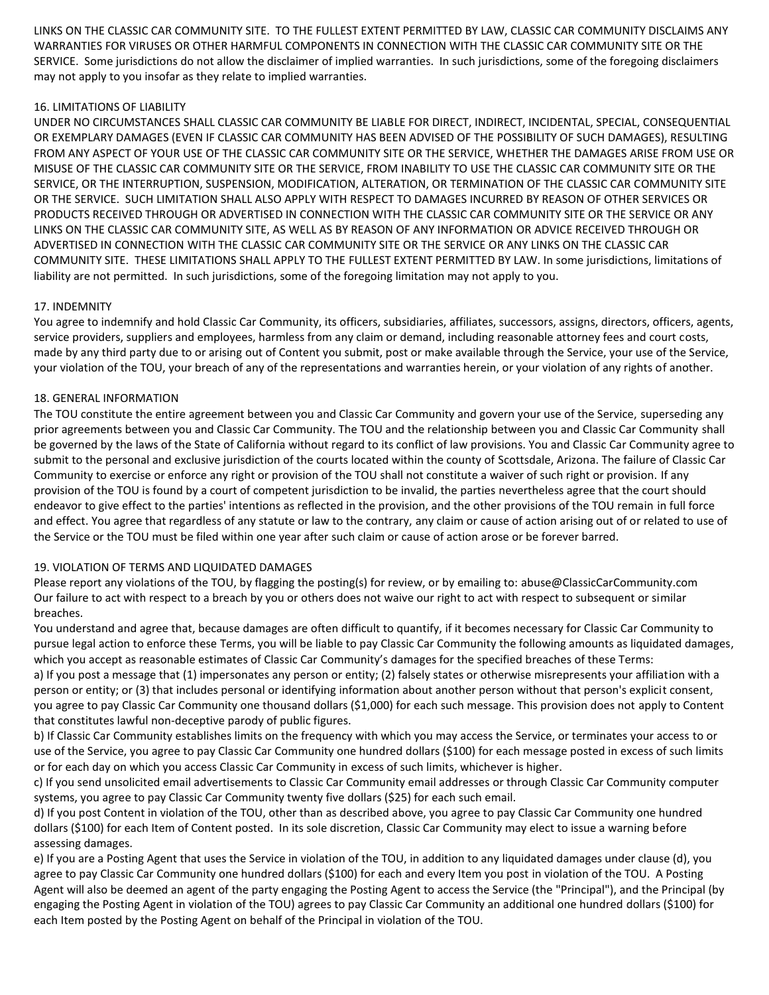LINKS ON THE CLASSIC CAR COMMUNITY SITE. TO THE FULLEST EXTENT PERMITTED BY LAW, CLASSIC CAR COMMUNITY DISCLAIMS ANY WARRANTIES FOR VIRUSES OR OTHER HARMFUL COMPONENTS IN CONNECTION WITH THE CLASSIC CAR COMMUNITY SITE OR THE SERVICE. Some jurisdictions do not allow the disclaimer of implied warranties. In such jurisdictions, some of the foregoing disclaimers may not apply to you insofar as they relate to implied warranties.

# 16. LIMITATIONS OF LIABILITY

UNDER NO CIRCUMSTANCES SHALL CLASSIC CAR COMMUNITY BE LIABLE FOR DIRECT, INDIRECT, INCIDENTAL, SPECIAL, CONSEQUENTIAL OR EXEMPLARY DAMAGES (EVEN IF CLASSIC CAR COMMUNITY HAS BEEN ADVISED OF THE POSSIBILITY OF SUCH DAMAGES), RESULTING FROM ANY ASPECT OF YOUR USE OF THE CLASSIC CAR COMMUNITY SITE OR THE SERVICE, WHETHER THE DAMAGES ARISE FROM USE OR MISUSE OF THE CLASSIC CAR COMMUNITY SITE OR THE SERVICE, FROM INABILITY TO USE THE CLASSIC CAR COMMUNITY SITE OR THE SERVICE, OR THE INTERRUPTION, SUSPENSION, MODIFICATION, ALTERATION, OR TERMINATION OF THE CLASSIC CAR COMMUNITY SITE OR THE SERVICE. SUCH LIMITATION SHALL ALSO APPLY WITH RESPECT TO DAMAGES INCURRED BY REASON OF OTHER SERVICES OR PRODUCTS RECEIVED THROUGH OR ADVERTISED IN CONNECTION WITH THE CLASSIC CAR COMMUNITY SITE OR THE SERVICE OR ANY LINKS ON THE CLASSIC CAR COMMUNITY SITE, AS WELL AS BY REASON OF ANY INFORMATION OR ADVICE RECEIVED THROUGH OR ADVERTISED IN CONNECTION WITH THE CLASSIC CAR COMMUNITY SITE OR THE SERVICE OR ANY LINKS ON THE CLASSIC CAR COMMUNITY SITE. THESE LIMITATIONS SHALL APPLY TO THE FULLEST EXTENT PERMITTED BY LAW. In some jurisdictions, limitations of liability are not permitted. In such jurisdictions, some of the foregoing limitation may not apply to you.

# 17. INDEMNITY

You agree to indemnify and hold Classic Car Community, its officers, subsidiaries, affiliates, successors, assigns, directors, officers, agents, service providers, suppliers and employees, harmless from any claim or demand, including reasonable attorney fees and court costs, made by any third party due to or arising out of Content you submit, post or make available through the Service, your use of the Service, your violation of the TOU, your breach of any of the representations and warranties herein, or your violation of any rights of another.

# 18. GENERAL INFORMATION

The TOU constitute the entire agreement between you and Classic Car Community and govern your use of the Service, superseding any prior agreements between you and Classic Car Community. The TOU and the relationship between you and Classic Car Community shall be governed by the laws of the State of California without regard to its conflict of law provisions. You and Classic Car Community agree to submit to the personal and exclusive jurisdiction of the courts located within the county of Scottsdale, Arizona. The failure of Classic Car Community to exercise or enforce any right or provision of the TOU shall not constitute a waiver of such right or provision. If any provision of the TOU is found by a court of competent jurisdiction to be invalid, the parties nevertheless agree that the court should endeavor to give effect to the parties' intentions as reflected in the provision, and the other provisions of the TOU remain in full force and effect. You agree that regardless of any statute or law to the contrary, any claim or cause of action arising out of or related to use of the Service or the TOU must be filed within one year after such claim or cause of action arose or be forever barred.

### 19. VIOLATION OF TERMS AND LIQUIDATED DAMAGES

Please report any violations of the TOU, by flagging the posting(s) for review, or by emailing to: abuse@ClassicCarCommunity.com Our failure to act with respect to a breach by you or others does not waive our right to act with respect to subsequent or similar breaches.

You understand and agree that, because damages are often difficult to quantify, if it becomes necessary for Classic Car Community to pursue legal action to enforce these Terms, you will be liable to pay Classic Car Community the following amounts as liquidated damages, which you accept as reasonable estimates of Classic Car Community's damages for the specified breaches of these Terms:

a) If you post a message that (1) impersonates any person or entity; (2) falsely states or otherwise misrepresents your affiliation with a person or entity; or (3) that includes personal or identifying information about another person without that person's explicit consent, you agree to pay Classic Car Community one thousand dollars (\$1,000) for each such message. This provision does not apply to Content that constitutes lawful non-deceptive parody of public figures.

b) If Classic Car Community establishes limits on the frequency with which you may access the Service, or terminates your access to or use of the Service, you agree to pay Classic Car Community one hundred dollars (\$100) for each message posted in excess of such limits or for each day on which you access Classic Car Community in excess of such limits, whichever is higher.

c) If you send unsolicited email advertisements to Classic Car Community email addresses or through Classic Car Community computer systems, you agree to pay Classic Car Community twenty five dollars (\$25) for each such email.

d) If you post Content in violation of the TOU, other than as described above, you agree to pay Classic Car Community one hundred dollars (\$100) for each Item of Content posted. In its sole discretion, Classic Car Community may elect to issue a warning before assessing damages.

e) If you are a Posting Agent that uses the Service in violation of the TOU, in addition to any liquidated damages under clause (d), you agree to pay Classic Car Community one hundred dollars (\$100) for each and every Item you post in violation of the TOU. A Posting Agent will also be deemed an agent of the party engaging the Posting Agent to access the Service (the "Principal"), and the Principal (by engaging the Posting Agent in violation of the TOU) agrees to pay Classic Car Community an additional one hundred dollars (\$100) for each Item posted by the Posting Agent on behalf of the Principal in violation of the TOU.